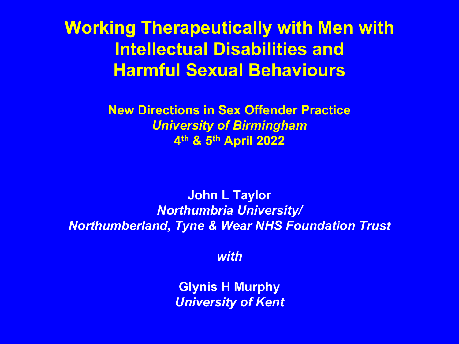**Working Therapeutically with Men with Intellectual Disabilities and Harmful Sexual Behaviours**

> **New Directions in Sex Offender Practice** *University of Birmingham* **4th & 5th April 2022**

**John L Taylor** *Northumbria University/ Northumberland, Tyne & Wear NHS Foundation Trust*

*with*

**Glynis H Murphy** *University of Kent*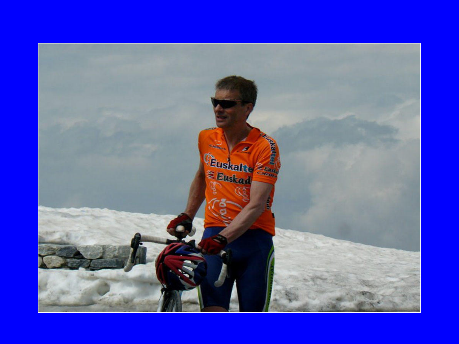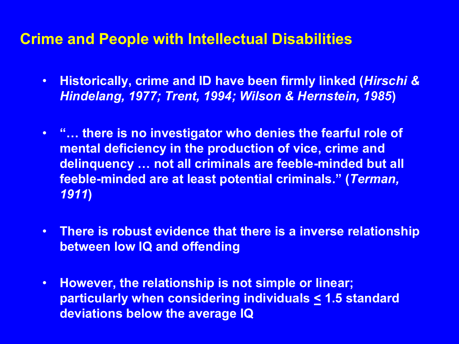### **Crime and People with Intellectual Disabilities**

- **Historically, crime and ID have been firmly linked (***Hirschi & Hindelang, 1977; Trent, 1994; Wilson & Hernstein, 1985***)**
- **"… there is no investigator who denies the fearful role of mental deficiency in the production of vice, crime and delinquency … not all criminals are feeble-minded but all feeble-minded are at least potential criminals." (***Terman, 1911***)**
- **There is robust evidence that there is a inverse relationship between low IQ and offending**
- **However, the relationship is not simple or linear; particularly when considering individuals < 1.5 standard deviations below the average IQ**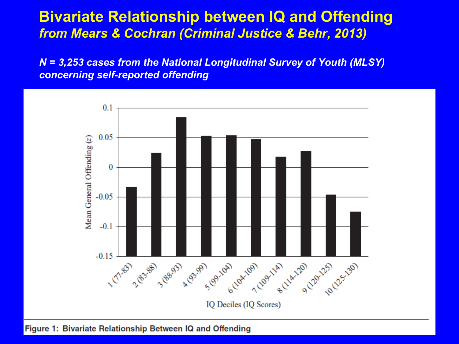### **Bivariate Relationship between IQ and Offending** *from Mears & Cochran (Criminal Justice & Behr, 2013)*

*N = 3,253 cases from the National Longitudinal Survey of Youth (MLSY) concerning self-reported offending*

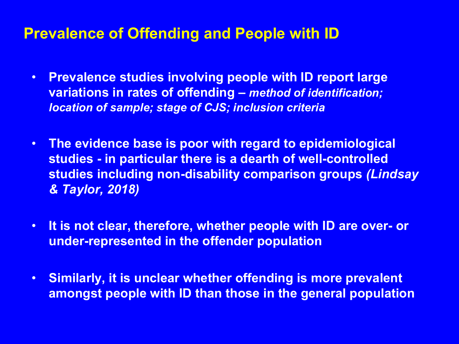### **Prevalence of Offending and People with ID**

- **Prevalence studies involving people with ID report large variations in rates of offending –** *method of identification; location of sample; stage of CJS; inclusion criteria*
- **The evidence base is poor with regard to epidemiological studies - in particular there is a dearth of well-controlled studies including non-disability comparison groups** *(Lindsay & Taylor, 2018)*
- **It is not clear, therefore, whether people with ID are over- or under-represented in the offender population**
- **Similarly, it is unclear whether offending is more prevalent amongst people with ID than those in the general population**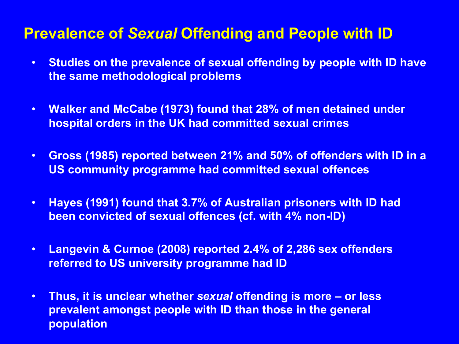### **Prevalence of** *Sexual* **Offending and People with ID**

- **Studies on the prevalence of sexual offending by people with ID have the same methodological problems**
- **Walker and McCabe (1973) found that 28% of men detained under hospital orders in the UK had committed sexual crimes**
- **Gross (1985) reported between 21% and 50% of offenders with ID in a US community programme had committed sexual offences**
- **Hayes (1991) found that 3.7% of Australian prisoners with ID had been convicted of sexual offences (cf. with 4% non-ID)**
- **Langevin & Curnoe (2008) reported 2.4% of 2,286 sex offenders referred to US university programme had ID**
- **Thus, it is unclear whether** *sexual* **offending is more – or less prevalent amongst people with ID than those in the general population**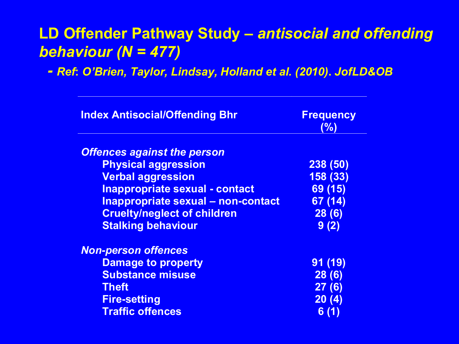# **LD Offender Pathway Study –** *antisocial and offending behaviour (N = 477)*

*- Ref***:** *O'Brien, Taylor, Lindsay, Holland et al. (2010)***.** *JofLD&OB*

| <b>Index Antisocial/Offending Bhr</b> | <b>Frequency</b><br>(%) |  |
|---------------------------------------|-------------------------|--|
| <b>Offences against the person</b>    |                         |  |
| <b>Physical aggression</b>            | 238(50)                 |  |
| <b>Verbal aggression</b>              | 158 (33)                |  |
| <b>Inappropriate sexual - contact</b> | 69 (15)                 |  |
| Inappropriate sexual - non-contact    | 67 (14)                 |  |
| <b>Cruelty/neglect of children</b>    | 28(6)                   |  |
| <b>Stalking behaviour</b>             | 9(2)                    |  |
| <b>Non-person offences</b>            |                         |  |
| <b>Damage to property</b>             | 91(19)                  |  |
| <b>Substance misuse</b>               | 28(6)                   |  |
| <b>Theft</b>                          | 27(6)                   |  |
| <b>Fire-setting</b>                   | 20(4)                   |  |
| <b>Traffic offences</b>               | 6(1)                    |  |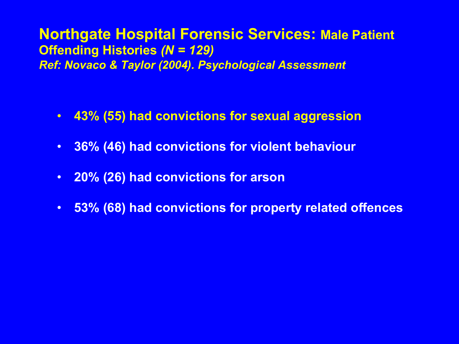### **Northgate Hospital Forensic Services: Male Patient Offending Histories** *(N = 129) Ref: Novaco & Taylor (2004). Psychological Assessment*

- **43% (55) had convictions for sexual aggression**
- **36% (46) had convictions for violent behaviour**
- **20% (26) had convictions for arson**
- **53% (68) had convictions for property related offences**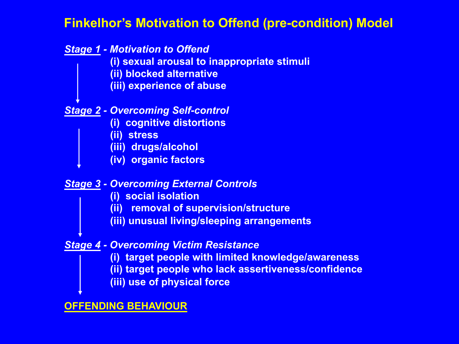#### **Finkelhor's Motivation to Offend (pre-condition) Model**



*Stage 4 - Overcoming Victim Resistance*

- **(i) target people with limited knowledge/awareness**
- **(ii) target people who lack assertiveness/confidence**
- **(iii) use of physical force**

#### **OFFENDING BEHAVIOUR**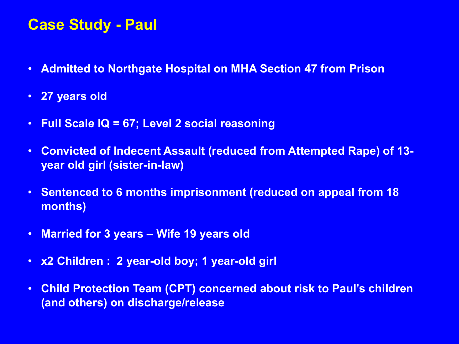### **Case Study - Paul**

- **Admitted to Northgate Hospital on MHA Section 47 from Prison**
- **27 years old**
- **Full Scale IQ = 67; Level 2 social reasoning**
- **Convicted of Indecent Assault (reduced from Attempted Rape) of 13 year old girl (sister-in-law)**
- **Sentenced to 6 months imprisonment (reduced on appeal from 18 months)**
- **Married for 3 years – Wife 19 years old**
- **x2 Children : 2 year-old boy; 1 year-old girl**
- **Child Protection Team (CPT) concerned about risk to Paul's children (and others) on discharge/release**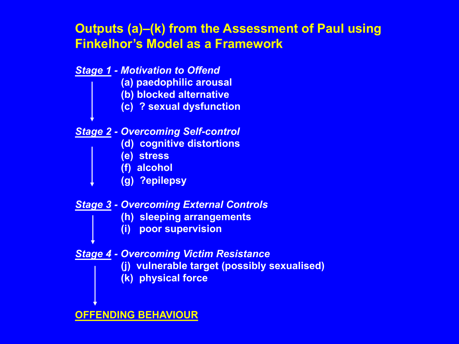### **Outputs (a)–(k) from the Assessment of Paul using Finkelhor's Model as a Framework**

- *Stage 1 - Motivation to Offend*
	- **(a) paedophilic arousal**
	- **(b) blocked alternative**
	- **(c) ? sexual dysfunction**

*Stage 2 - Overcoming Self-control*

- **(d) cognitive distortions**
- **(e) stress**
- **(f) alcohol**
- **(g) ?epilepsy**

*Stage 3 - Overcoming External Controls*

- **(h) sleeping arrangements**
- **(i) poor supervision**

*Stage 4 - Overcoming Victim Resistance*

- **(j) vulnerable target (possibly sexualised)**
- **(k) physical force**

#### **OFFENDING BEHAVIOUR**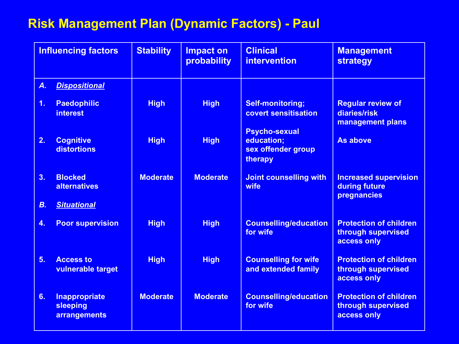### **Risk Management Plan (Dynamic Factors) - Paul**

| <b>Influencing factors</b> |                                           | <b>Stability</b> | Impact on<br>probability | <b>Clinical</b><br><b>intervention</b>                              | <b>Management</b><br><b>strategy</b>                               |
|----------------------------|-------------------------------------------|------------------|--------------------------|---------------------------------------------------------------------|--------------------------------------------------------------------|
| Α.                         | <b>Dispositional</b>                      |                  |                          |                                                                     |                                                                    |
| 1 <sub>1</sub>             | <b>Paedophilic</b><br><b>interest</b>     | <b>High</b>      | <b>High</b>              | <b>Self-monitoring;</b><br>covert sensitisation                     | <b>Regular review of</b><br>diaries/risk<br>management plans       |
| 2.                         | <b>Cognitive</b><br><b>distortions</b>    | <b>High</b>      | <b>High</b>              | <b>Psycho-sexual</b><br>education;<br>sex offender group<br>therapy | <b>As above</b>                                                    |
| 3.                         | <b>Blocked</b><br><b>alternatives</b>     | <b>Moderate</b>  | <b>Moderate</b>          | <b>Joint counselling with</b><br>wife                               | <b>Increased supervision</b><br>during future<br>pregnancies       |
| <b>B.</b>                  | <b>Situational</b>                        |                  |                          |                                                                     |                                                                    |
| 4.                         | <b>Poor supervision</b>                   | <b>High</b>      | <b>High</b>              | <b>Counselling/education</b><br>for wife                            | <b>Protection of children</b><br>through supervised<br>access only |
| 5.                         | <b>Access to</b><br>vulnerable target     | <b>High</b>      | <b>High</b>              | <b>Counselling for wife</b><br>and extended family                  | <b>Protection of children</b><br>through supervised<br>access only |
| 6.                         | Inappropriate<br>sleeping<br>arrangements | <b>Moderate</b>  | <b>Moderate</b>          | <b>Counselling/education</b><br>for wife                            | <b>Protection of children</b><br>through supervised<br>access only |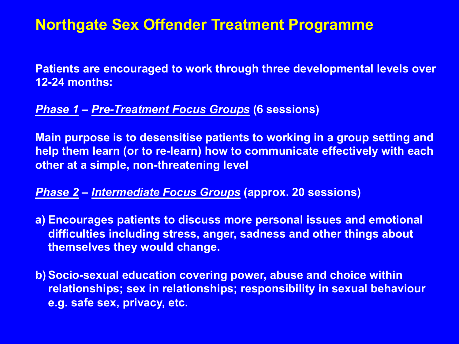### **Northgate Sex Offender Treatment Programme**

**Patients are encouraged to work through three developmental levels over 12-24 months:**

*Phase 1 – Pre-Treatment Focus Groups* **(6 sessions)**

**Main purpose is to desensitise patients to working in a group setting and help them learn (or to re-learn) how to communicate effectively with each other at a simple, non-threatening level**

#### *Phase 2 – Intermediate Focus Groups* **(approx. 20 sessions)**

**a) Encourages patients to discuss more personal issues and emotional difficulties including stress, anger, sadness and other things about themselves they would change.**

**b) Socio-sexual education covering power, abuse and choice within relationships; sex in relationships; responsibility in sexual behaviour e.g. safe sex, privacy, etc.**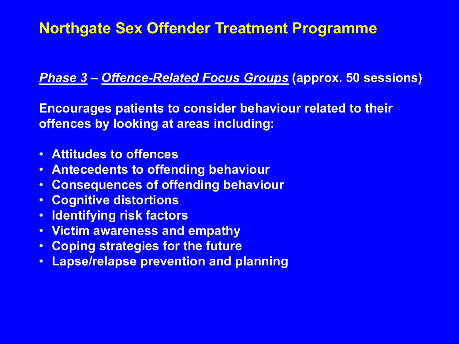# **Northgate Sex Offender Treatment Programme**

#### *Phase 3 – Offence-Related Focus Groups* **(approx. 50 sessions)**

**Encourages patients to consider behaviour related to their offences by looking at areas including:**

- **Attitudes to offences**
- **Antecedents to offending behaviour**
- **Consequences of offending behaviour**
- **Cognitive distortions**
- **Identifying risk factors**
- **Victim awareness and empathy**
- **Coping strategies for the future**
- **Lapse/relapse prevention and planning**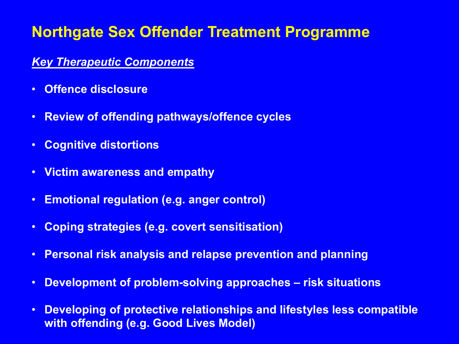# **Northgate Sex Offender Treatment Programme**

#### *Key Therapeutic Components*

- **Offence disclosure**
- **Review of offending pathways/offence cycles**
- **Cognitive distortions**
- **Victim awareness and empathy**
- **Emotional regulation (e.g. anger control)**
- **Coping strategies (e.g. covert sensitisation)**
- **Personal risk analysis and relapse prevention and planning**
- **Development of problem-solving approaches – risk situations**
- **Developing of protective relationships and lifestyles less compatible with offending (e.g. Good Lives Model)**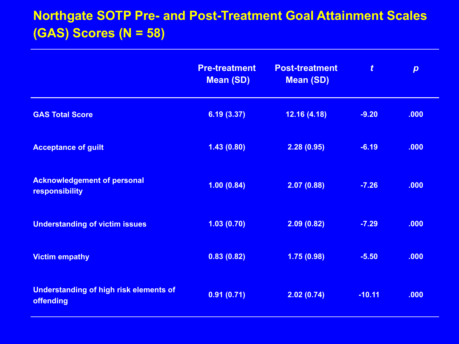### **Northgate SOTP Pre- and Post-Treatment Goal Attainment Scales (GAS) Scores (N = 58)**

|                                                             | <b>Pre-treatment</b><br><b>Mean (SD)</b> | <b>Post-treatment</b><br><b>Mean (SD)</b> | t        | $\boldsymbol{p}$ |
|-------------------------------------------------------------|------------------------------------------|-------------------------------------------|----------|------------------|
| <b>GAS Total Score</b>                                      | 6.19(3.37)                               | 12.16(4.18)                               | $-9.20$  | .000             |
| <b>Acceptance of guilt</b>                                  | 1.43(0.80)                               | 2.28(0.95)                                | $-6.19$  | .000             |
| <b>Acknowledgement of personal</b><br><b>responsibility</b> | 1.00(0.84)                               | 2.07(0.88)                                | $-7.26$  | .000             |
| <b>Understanding of victim issues</b>                       | 1.03(0.70)                               | 2.09(0.82)                                | $-7.29$  | .000             |
| <b>Victim empathy</b>                                       | 0.83(0.82)                               | 1.75(0.98)                                | $-5.50$  | .000             |
| <b>Understanding of high risk elements of</b><br>offending  | 0.91(0.71)                               | 2.02(0.74)                                | $-10.11$ | .000             |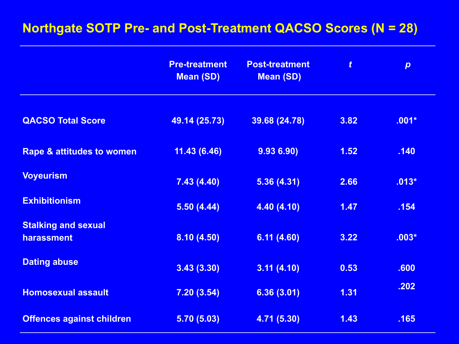### **Northgate SOTP Pre- and Post-Treatment QACSO Scores (N = 28)**

|                                          | <b>Pre-treatment</b><br><b>Mean (SD)</b> | <b>Post-treatment</b><br><b>Mean (SD)</b> | $\mathbf{t}$ | $\boldsymbol{p}$ |
|------------------------------------------|------------------------------------------|-------------------------------------------|--------------|------------------|
| <b>QACSO Total Score</b>                 | 49.14 (25.73)                            | 39.68 (24.78)                             | 3.82         | $.001*$          |
| <b>Rape &amp; attitudes to women</b>     | 11.43(6.46)                              | 9.936.90                                  | 1.52         | .140             |
| <b>Voyeurism</b>                         | 7.43(4.40)                               | 5.36(4.31)                                | 2.66         | $.013*$          |
| <b>Exhibitionism</b>                     | 5.50(4.44)                               | 4.40(4.10)                                | 1.47         | .154             |
| <b>Stalking and sexual</b><br>harassment | 8.10(4.50)                               | 6.11(4.60)                                | 3.22         | $.003*$          |
| <b>Dating abuse</b>                      | 3.43(3.30)                               | 3.11(4.10)                                | 0.53         | .600             |
| <b>Homosexual assault</b>                | 7.20(3.54)                               | 6.36(3.01)                                | 1.31         | .202             |
| <b>Offences against children</b>         | 5.70(5.03)                               | 4.71 (5.30)                               | 1.43         | .165             |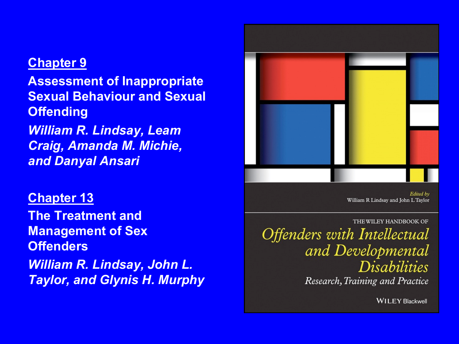#### **Chapter 9**

**Assessment of Inappropriate Sexual Behaviour and Sexual Offending**  *William R. Lindsay, Leam Craig, Amanda M. Michie,* 

*and Danyal Ansari* 

#### **Chapter 13**

**The Treatment and Management of Sex Offenders**  *William R. Lindsay, John L. Taylor, and Glynis H. Murphy* 



**WILEY Blackwell**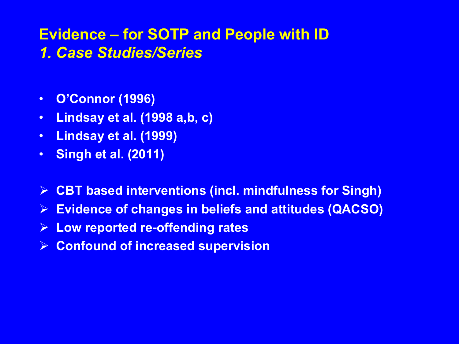# **Evidence – for SOTP and People with ID** *1. Case Studies/Series*

- **O'Connor (1996)**
- **Lindsay et al. (1998 a,b, c)**
- **Lindsay et al. (1999)**
- **Singh et al. (2011)**
- Ø **CBT based interventions (incl. mindfulness for Singh)**
- Ø **Evidence of changes in beliefs and attitudes (QACSO)**
- Ø **Low reported re-offending rates**
- Ø **Confound of increased supervision**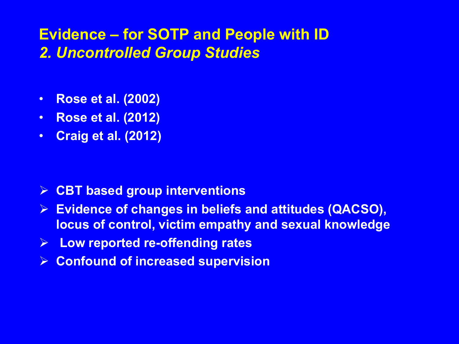# **Evidence – for SOTP and People with ID** *2. Uncontrolled Group Studies*

- **Rose et al. (2002)**
- **Rose et al. (2012)**
- **Craig et al. (2012)**

- Ø **CBT based group interventions**
- Ø **Evidence of changes in beliefs and attitudes (QACSO), locus of control, victim empathy and sexual knowledge**
- Ø **Low reported re-offending rates**
- Ø **Confound of increased supervision**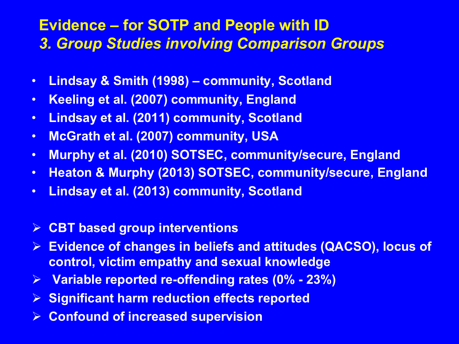# **Evidence – for SOTP and People with ID** *3. Group Studies involving Comparison Groups*

- **Lindsay & Smith (1998) – community, Scotland**
- **Keeling et al. (2007) community, England**
- **Lindsay et al. (2011) community, Scotland**
- **McGrath et al. (2007) community, USA**
- **Murphy et al. (2010) SOTSEC, community/secure, England**
- **Heaton & Murphy (2013) SOTSEC, community/secure, England**
- **Lindsay et al. (2013) community, Scotland**
- Ø **CBT based group interventions**
- Ø **Evidence of changes in beliefs and attitudes (QACSO), locus of control, victim empathy and sexual knowledge**
- Ø **Variable reported re-offending rates (0% - 23%)**
- Ø **Significant harm reduction effects reported**
- Ø **Confound of increased supervision**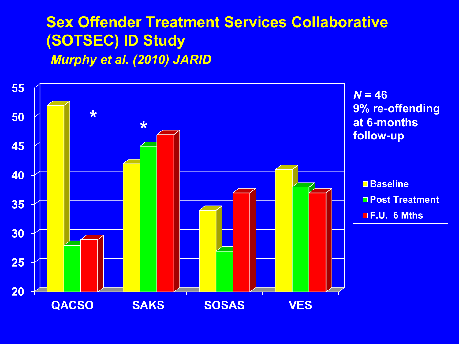# **Sex Offender Treatment Services Collaborative (SOTSEC) ID Study** *Murphy et al. (2010) JARID*

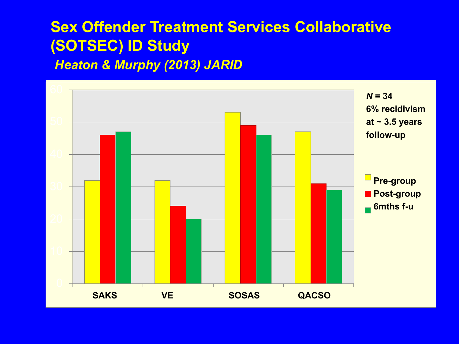# **Sex Offender Treatment Services Collaborative (SOTSEC) ID Study**

*Heaton & Murphy (2013) JARID*

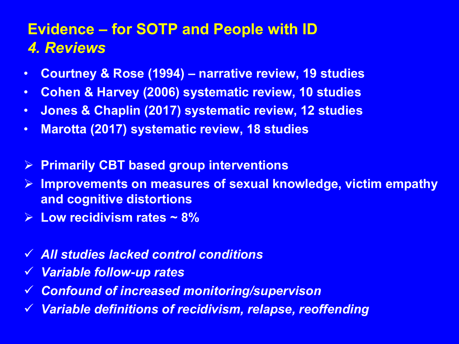# **Evidence – for SOTP and People with ID** *4. Reviews*

- **Courtney & Rose (1994) – narrative review, 19 studies**
- **Cohen & Harvey (2006) systematic review, 10 studies**
- **Jones & Chaplin (2017) systematic review, 12 studies**
- **Marotta (2017) systematic review, 18 studies**
- Ø **Primarily CBT based group interventions**
- Ø **Improvements on measures of sexual knowledge, victim empathy and cognitive distortions**
- Ø **Low recidivism rates ~ 8%**
- ü *All studies lacked control conditions*
- ü *Variable follow-up rates*
- ü *Confound of increased monitoring/supervison*
- ü *Variable definitions of recidivism, relapse, reoffending*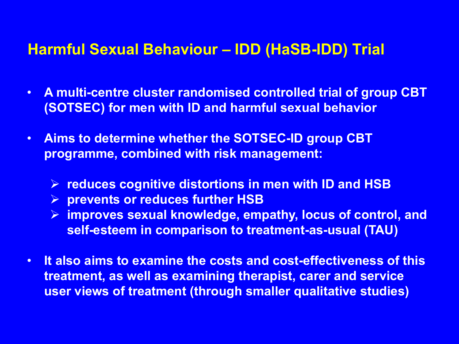### **Harmful Sexual Behaviour – IDD (HaSB-IDD) Trial**

- **A multi-centre cluster randomised controlled trial of group CBT (SOTSEC) for men with ID and harmful sexual behavior**
- **Aims to determine whether the SOTSEC-ID group CBT programme, combined with risk management:**
	- Ø **reduces cognitive distortions in men with ID and HSB**
	- Ø **prevents or reduces further HSB**
	- Ø **improves sexual knowledge, empathy, locus of control, and self-esteem in comparison to treatment-as-usual (TAU)**
- **It also aims to examine the costs and cost-effectiveness of this treatment, as well as examining therapist, carer and service user views of treatment (through smaller qualitative studies)**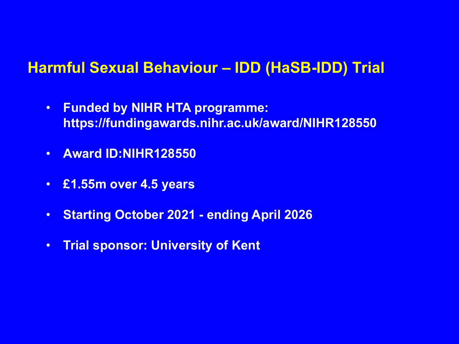# **Harmful Sexual Behaviour – IDD (HaSB-IDD) Trial**

- **Funded by NIHR HTA programme: https://fundingawards.nihr.ac.uk/award/NIHR128550**
- **Award ID:NIHR128550**
- **£1.55m over 4.5 years**
- **Starting October 2021 - ending April 2026**
- **Trial sponsor: University of Kent**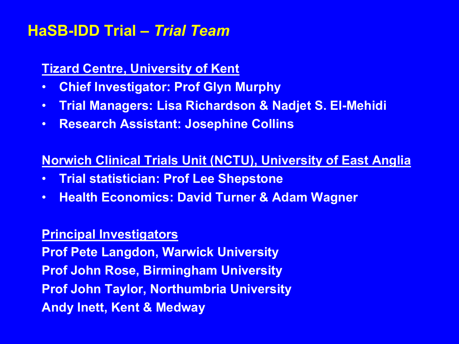## **HaSB-IDD Trial –** *Trial Team*

#### **Tizard Centre, University of Kent**

- **Chief Investigator: Prof Glyn Murphy**
- **Trial Managers: Lisa Richardson & Nadjet S. El-Mehidi**
- **Research Assistant: Josephine Collins**

#### **Norwich Clinical Trials Unit (NCTU), University of East Anglia**

- **Trial statistician: Prof Lee Shepstone**
- **Health Economics: David Turner & Adam Wagner**

#### **Principal Investigators**

**Prof Pete Langdon, Warwick University Prof John Rose, Birmingham University Prof John Taylor, Northumbria University Andy Inett, Kent & Medway**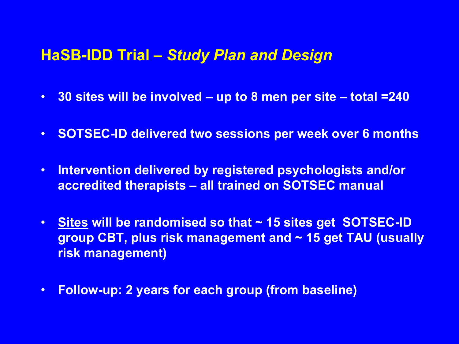### **HaSB-IDD Trial –** *Study Plan and Design*

- **30 sites will be involved – up to 8 men per site – total =240**
- **SOTSEC-ID delivered two sessions per week over 6 months**
- **Intervention delivered by registered psychologists and/or accredited therapists – all trained on SOTSEC manual**
- **Sites will be randomised so that ~ 15 sites get SOTSEC-ID group CBT, plus risk management and ~ 15 get TAU (usually risk management)**
- **Follow-up: 2 years for each group (from baseline)**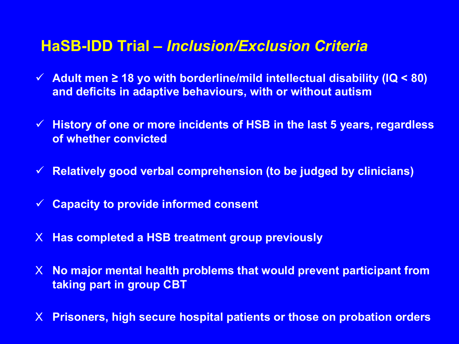### **HaSB-IDD Trial –** *Inclusion/Exclusion Criteria*

- ü **Adult men ≥ 18 yo with borderline/mild intellectual disability (IQ < 80) and deficits in adaptive behaviours, with or without autism**
- ü **History of one or more incidents of HSB in the last 5 years, regardless of whether convicted**
- ü **Relatively good verbal comprehension (to be judged by clinicians)**
- ü **Capacity to provide informed consent**
- Х **Has completed a HSB treatment group previously**
- Х **No major mental health problems that would prevent participant from taking part in group CBT**
- Х **Prisoners, high secure hospital patients or those on probation orders**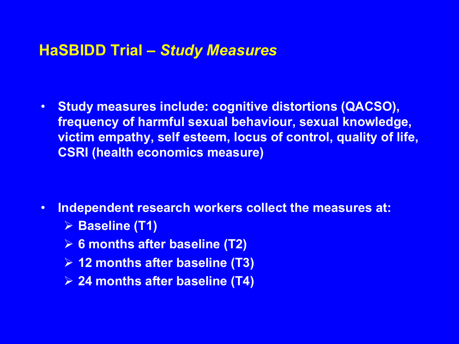### **HaSBIDD Trial –** *Study Measures*

• **Study measures include: cognitive distortions (QACSO), frequency of harmful sexual behaviour, sexual knowledge, victim empathy, self esteem, locus of control, quality of life, CSRI (health economics measure)**

- **Independent research workers collect the measures at:**
	- Ø **Baseline (T1)**
	- Ø **6 months after baseline (T2)**
	- Ø **12 months after baseline (T3)**
	- Ø **24 months after baseline (T4)**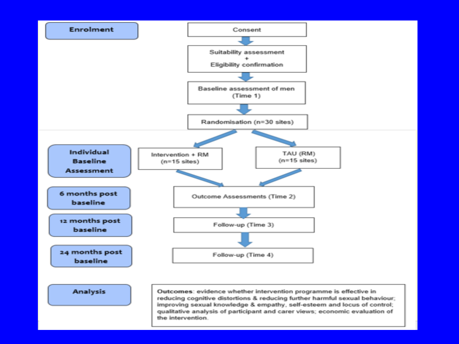

Outcomes: evidence whether intervention programme is effective in reducing cognitive distortions & reducing further harmful sexual behaviour; improving sexual knowledge & empathy, self-esteem and locus of control; qualitative analysis of participant and carer views; economic evaluation of the intervention.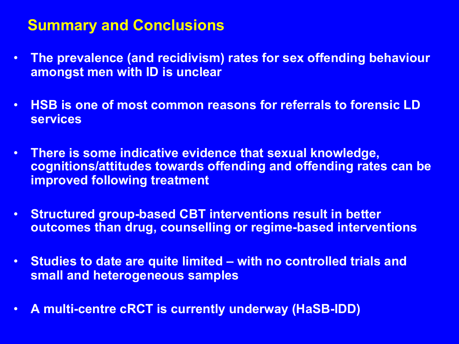### **Summary and Conclusions**

- **The prevalence (and recidivism) rates for sex offending behaviour amongst men with ID is unclear**
- **HSB is one of most common reasons for referrals to forensic LD services**
- **There is some indicative evidence that sexual knowledge, cognitions/attitudes towards offending and offending rates can be improved following treatment**
- **Structured group-based CBT interventions result in better outcomes than drug, counselling or regime-based interventions**
- **Studies to date are quite limited – with no controlled trials and small and heterogeneous samples**
- **A multi-centre cRCT is currently underway (HaSB-IDD)**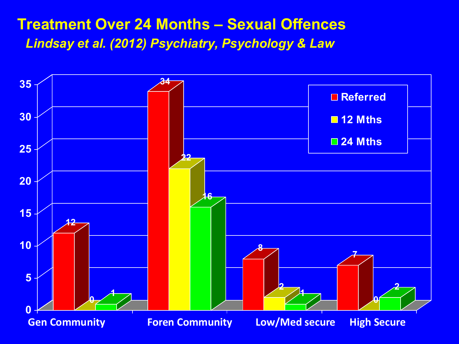# **Treatment Over 24 Months – Sexual Offences** *Lindsay et al. (2012) Psychiatry, Psychology & Law*